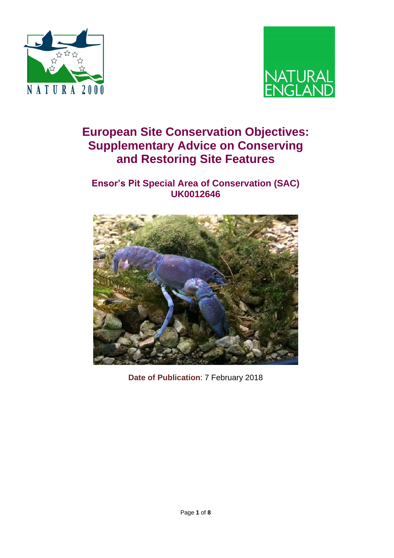



# **European Site Conservation Objectives: Supplementary Advice on Conserving and Restoring Site Features**

## **Ensor's Pit Special Area of Conservation (SAC) UK0012646**



**Date of Publication**: 7 February 2018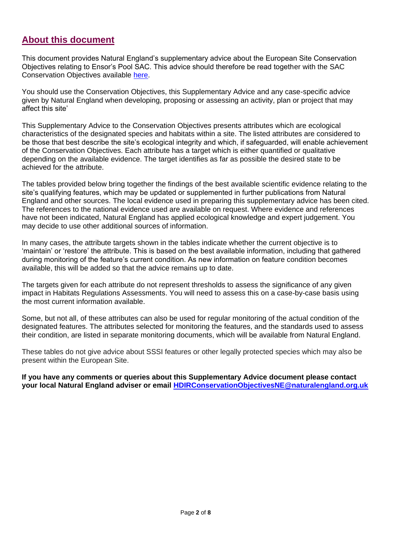### **About this document**

This document provides Natural England's supplementary advice about the European Site Conservation Objectives relating to Ensor's Pool SAC. This advice should therefore be read together with the SAC Conservation Objectives available [here.](http://publications.naturalengland.org.uk/file/5267179054563328)

You should use the Conservation Objectives, this Supplementary Advice and any case-specific advice given by Natural England when developing, proposing or assessing an activity, plan or project that may affect this site'

This Supplementary Advice to the Conservation Objectives presents attributes which are ecological characteristics of the designated species and habitats within a site. The listed attributes are considered to be those that best describe the site's ecological integrity and which, if safeguarded, will enable achievement of the Conservation Objectives. Each attribute has a target which is either quantified or qualitative depending on the available evidence. The target identifies as far as possible the desired state to be achieved for the attribute.

The tables provided below bring together the findings of the best available scientific evidence relating to the site's qualifying features, which may be updated or supplemented in further publications from Natural England and other sources. The local evidence used in preparing this supplementary advice has been cited. The references to the national evidence used are available on request. Where evidence and references have not been indicated, Natural England has applied ecological knowledge and expert judgement. You may decide to use other additional sources of information.

In many cases, the attribute targets shown in the tables indicate whether the current objective is to 'maintain' or 'restore' the attribute. This is based on the best available information, including that gathered during monitoring of the feature's current condition. As new information on feature condition becomes available, this will be added so that the advice remains up to date.

The targets given for each attribute do not represent thresholds to assess the significance of any given impact in Habitats Regulations Assessments. You will need to assess this on a case-by-case basis using the most current information available.

Some, but not all, of these attributes can also be used for regular monitoring of the actual condition of the designated features. The attributes selected for monitoring the features, and the standards used to assess their condition, are listed in separate monitoring documents, which will be available from Natural England.

These tables do not give advice about SSSI features or other legally protected species which may also be present within the European Site.

**If you have any comments or queries about this Supplementary Advice document please contact your local Natural England adviser or email [HDIRConservationObjectivesNE@naturalengland.org.uk](mailto:HDIRConservationObjectivesNE@naturalengland.org.uk)**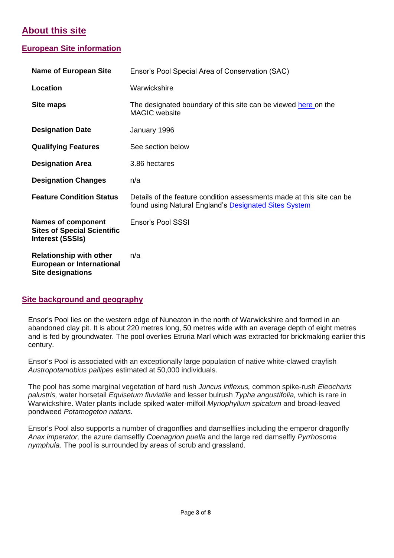# **About this site**

### **European Site information**

| <b>Name of European Site</b>                                                                   | Ensor's Pool Special Area of Conservation (SAC)                                                                                |  |  |
|------------------------------------------------------------------------------------------------|--------------------------------------------------------------------------------------------------------------------------------|--|--|
| Location                                                                                       | Warwickshire                                                                                                                   |  |  |
| Site maps                                                                                      | The designated boundary of this site can be viewed here on the<br><b>MAGIC</b> website                                         |  |  |
| <b>Designation Date</b><br>January 1996                                                        |                                                                                                                                |  |  |
| <b>Qualifying Features</b>                                                                     | See section below                                                                                                              |  |  |
| <b>Designation Area</b>                                                                        | 3.86 hectares                                                                                                                  |  |  |
| <b>Designation Changes</b>                                                                     | n/a                                                                                                                            |  |  |
| <b>Feature Condition Status</b>                                                                | Details of the feature condition assessments made at this site can be<br>found using Natural England's Designated Sites System |  |  |
| <b>Names of component</b><br><b>Sites of Special Scientific</b><br><b>Interest (SSSIs)</b>     | Ensor's Pool SSSI                                                                                                              |  |  |
| <b>Relationship with other</b><br><b>European or International</b><br><b>Site designations</b> | n/a                                                                                                                            |  |  |

#### **Site background and geography**

Ensor's Pool lies on the western edge of Nuneaton in the north of Warwickshire and formed in an abandoned clay pit. It is about 220 metres long, 50 metres wide with an average depth of eight metres and is fed by groundwater. The pool overlies Etruria Marl which was extracted for brickmaking earlier this century.

Ensor's Pool is associated with an exceptionally large population of native white-clawed crayfish *Austropotamobius pallipes* estimated at 50,000 individuals.

The pool has some marginal vegetation of hard rush *Juncus inflexus,* common spike-rush *Eleocharis palustris,* water horsetail *Equisetum fluviatile* and lesser bulrush *Typha angustifolia,* which is rare in Warwickshire. Water plants include spiked water-milfoil *Myriophyllum spicatum* and broad-leaved pondweed *Potamogeton natans.*

Ensor's Pool also supports a number of dragonflies and damselflies including the emperor dragonfly *Anax imperator,* the azure damselfly *Coenagrion puella* and the large red damselfly *Pyrrhosoma nymphula.* The pool is surrounded by areas of scrub and grassland.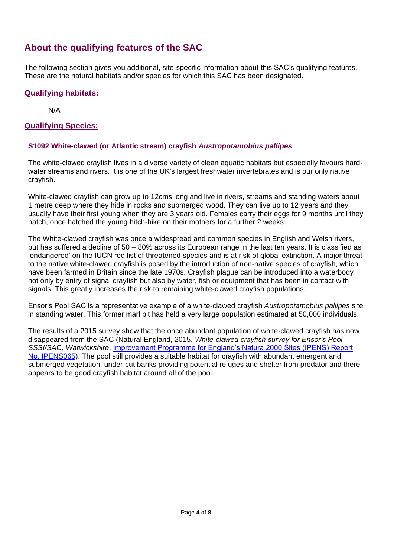# **About the qualifying features of the SAC**

The following section gives you additional, site-specific information about this SAC's qualifying features. These are the natural habitats and/or species for which this SAC has been designated.

#### **Qualifying habitats:**

N/A

#### **Qualifying Species:**

#### **S1092 White-clawed (or Atlantic stream) crayfish** *Austropotamobius pallipes*

The white-clawed crayfish lives in a diverse variety of clean aquatic habitats but especially favours hardwater streams and rivers. It is one of the UK's largest freshwater invertebrates and is our only native crayfish.

White-clawed crayfish can grow up to 12cms long and live in rivers, streams and standing waters about 1 metre deep where they hide in rocks and submerged wood. They can live up to 12 years and they usually have their first young when they are 3 years old. Females carry their eggs for 9 months until they hatch, once hatched the young hitch-hike on their mothers for a further 2 weeks.

The White-clawed crayfish was once a widespread and common species in English and Welsh rivers, but has suffered a decline of 50 – 80% across its European range in the last ten years. It is classified as 'endangered' on the IUCN red list of threatened species and is at risk of global extinction. A major threat to the native white-clawed crayfish is posed by the introduction of non-native species of crayfish, which have been farmed in Britain since the late 1970s. Crayfish plague can be introduced into a waterbody not only by entry of signal crayfish but also by water, fish or equipment that has been in contact with signals. This greatly increases the risk to remaining white-clawed crayfish populations.

Ensor's Pool SAC is a representative example of a white-clawed crayfish *Austropotamobius pallipes* site in standing water. This former marl pit has held a very large population estimated at 50,000 individuals.

The results of a 2015 survey show that the once abundant population of white-clawed crayfish has now disappeared from the SAC (Natural England, 2015. *White-clawed crayfish survey for Ensor's Pool SSSI/SAC, Warwickshire*. [Improvement Programme for England's Natura 2000 Sites \(IPENS\) Report](http://publications.naturalengland.org.uk/publication/5756899955834880) [No. IPENS065\)](http://publications.naturalengland.org.uk/publication/5756899955834880). The pool still provides a suitable habitat for crayfish with abundant emergent and submerged vegetation, under-cut banks providing potential refuges and shelter from predator and there appears to be good crayfish habitat around all of the pool.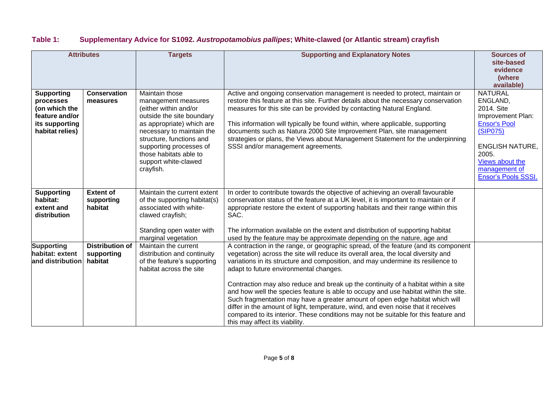### **Table 1: Supplementary Advice for S1092.** *Austropotamobius pallipes***; White-clawed (or Atlantic stream) crayfish**

|                   |                        | <b>Targets</b>                                         | <b>Supporting and Explanatory Notes</b>                                                                                    | <b>Sources of</b>                |
|-------------------|------------------------|--------------------------------------------------------|----------------------------------------------------------------------------------------------------------------------------|----------------------------------|
| <b>Attributes</b> |                        |                                                        |                                                                                                                            | site-based                       |
|                   |                        |                                                        |                                                                                                                            | evidence                         |
|                   |                        |                                                        |                                                                                                                            | (where                           |
|                   |                        |                                                        |                                                                                                                            | available)                       |
| <b>Supporting</b> | <b>Conservation</b>    | Maintain those                                         | Active and ongoing conservation management is needed to protect, maintain or                                               | <b>NATURAL</b>                   |
| processes         | measures               | management measures                                    | restore this feature at this site. Further details about the necessary conservation                                        | ENGLAND,                         |
| (on which the     |                        | (either within and/or                                  | measures for this site can be provided by contacting Natural England.                                                      | 2014. Site                       |
| feature and/or    |                        | outside the site boundary                              |                                                                                                                            | Improvement Plan:                |
| its supporting    |                        | as appropriate) which are                              | This information will typically be found within, where applicable, supporting                                              | <b>Ensor's Pool</b>              |
| habitat relies)   |                        | necessary to maintain the                              | documents such as Natura 2000 Site Improvement Plan, site management                                                       | (SIP075)                         |
|                   |                        | structure, functions and                               | strategies or plans, the Views about Management Statement for the underpinning                                             |                                  |
|                   |                        | supporting processes of                                | SSSI and/or management agreements.                                                                                         | <b>ENGLISH NATURE,</b>           |
|                   |                        | those habitats able to                                 |                                                                                                                            | 2005.                            |
|                   |                        | support white-clawed                                   |                                                                                                                            | Views about the<br>management of |
|                   |                        | crayfish.                                              |                                                                                                                            | <b>Ensor's Pools SSSI.</b>       |
|                   |                        |                                                        |                                                                                                                            |                                  |
| <b>Supporting</b> | <b>Extent of</b>       | Maintain the current extent                            | In order to contribute towards the objective of achieving an overall favourable                                            |                                  |
| habitat:          | supporting             | of the supporting habitat(s)                           | conservation status of the feature at a UK level, it is important to maintain or if                                        |                                  |
| extent and        | habitat                | associated with white-                                 | appropriate restore the extent of supporting habitats and their range within this                                          |                                  |
| distribution      |                        | clawed crayfish;                                       | SAC.                                                                                                                       |                                  |
|                   |                        |                                                        |                                                                                                                            |                                  |
|                   |                        | Standing open water with                               | The information available on the extent and distribution of supporting habitat                                             |                                  |
|                   |                        | marginal vegetation                                    | used by the feature may be approximate depending on the nature, age and                                                    |                                  |
| <b>Supporting</b> | <b>Distribution of</b> | Maintain the current                                   | A contraction in the range, or geographic spread, of the feature (and its component                                        |                                  |
| habitat: extent   | supporting<br>habitat  | distribution and continuity                            | vegetation) across the site will reduce its overall area, the local diversity and                                          |                                  |
| and distribution  |                        | of the feature's supporting<br>habitat across the site | variations in its structure and composition, and may undermine its resilience to<br>adapt to future environmental changes. |                                  |
|                   |                        |                                                        |                                                                                                                            |                                  |
|                   |                        |                                                        | Contraction may also reduce and break up the continuity of a habitat within a site                                         |                                  |
|                   |                        |                                                        | and how well the species feature is able to occupy and use habitat within the site.                                        |                                  |
|                   |                        |                                                        | Such fragmentation may have a greater amount of open edge habitat which will                                               |                                  |
|                   |                        |                                                        | differ in the amount of light, temperature, wind, and even noise that it receives                                          |                                  |
|                   |                        |                                                        | compared to its interior. These conditions may not be suitable for this feature and                                        |                                  |
|                   |                        |                                                        | this may affect its viability.                                                                                             |                                  |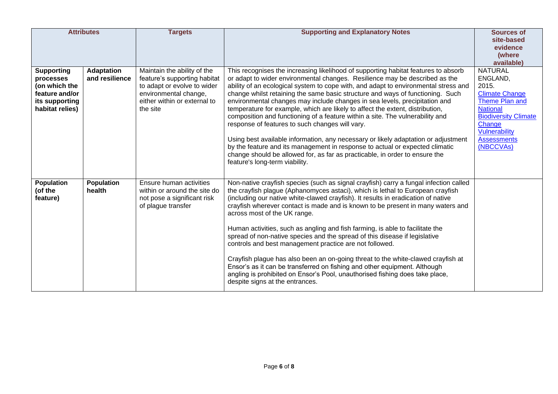| <b>Attributes</b>                                                                                      |                                     | <b>Targets</b>                                                                                                                                                  | <b>Supporting and Explanatory Notes</b>                                                                                                                                                                                                                                                                                                                                                                                                                                                                                                                                                                                                                                                                                                                                                                                                                                                                                              | <b>Sources of</b><br>site-based<br>evidence<br>(where<br>available)                                                                                                                                   |
|--------------------------------------------------------------------------------------------------------|-------------------------------------|-----------------------------------------------------------------------------------------------------------------------------------------------------------------|--------------------------------------------------------------------------------------------------------------------------------------------------------------------------------------------------------------------------------------------------------------------------------------------------------------------------------------------------------------------------------------------------------------------------------------------------------------------------------------------------------------------------------------------------------------------------------------------------------------------------------------------------------------------------------------------------------------------------------------------------------------------------------------------------------------------------------------------------------------------------------------------------------------------------------------|-------------------------------------------------------------------------------------------------------------------------------------------------------------------------------------------------------|
| <b>Supporting</b><br>processes<br>(on which the<br>feature and/or<br>its supporting<br>habitat relies) | <b>Adaptation</b><br>and resilience | Maintain the ability of the<br>feature's supporting habitat<br>to adapt or evolve to wider<br>environmental change,<br>either within or external to<br>the site | This recognises the increasing likelihood of supporting habitat features to absorb<br>or adapt to wider environmental changes. Resilience may be described as the<br>ability of an ecological system to cope with, and adapt to environmental stress and<br>change whilst retaining the same basic structure and ways of functioning. Such<br>environmental changes may include changes in sea levels, precipitation and<br>temperature for example, which are likely to affect the extent, distribution,<br>composition and functioning of a feature within a site. The vulnerability and<br>response of features to such changes will vary.<br>Using best available information, any necessary or likely adaptation or adjustment<br>by the feature and its management in response to actual or expected climatic<br>change should be allowed for, as far as practicable, in order to ensure the<br>feature's long-term viability. | <b>NATURAL</b><br>ENGLAND,<br>2015.<br><b>Climate Change</b><br>Theme Plan and<br><b>National</b><br><b>Biodiversity Climate</b><br>Change<br><b>Vulnerability</b><br><b>Assessments</b><br>(NBCCVAs) |
| Population<br>(of the<br>feature)                                                                      | <b>Population</b><br>health         | Ensure human activities<br>within or around the site do<br>not pose a significant risk<br>of plague transfer                                                    | Non-native crayfish species (such as signal crayfish) carry a fungal infection called<br>the crayfish plague (Aphanomyces astaci), which is lethal to European crayfish<br>(including our native white-clawed crayfish). It results in eradication of native<br>crayfish wherever contact is made and is known to be present in many waters and<br>across most of the UK range.<br>Human activities, such as angling and fish farming, is able to facilitate the<br>spread of non-native species and the spread of this disease if legislative<br>controls and best management practice are not followed.<br>Crayfish plague has also been an on-going threat to the white-clawed crayfish at<br>Ensor's as it can be transferred on fishing and other equipment. Although<br>angling is prohibited on Ensor's Pool, unauthorised fishing does take place,<br>despite signs at the entrances.                                        |                                                                                                                                                                                                       |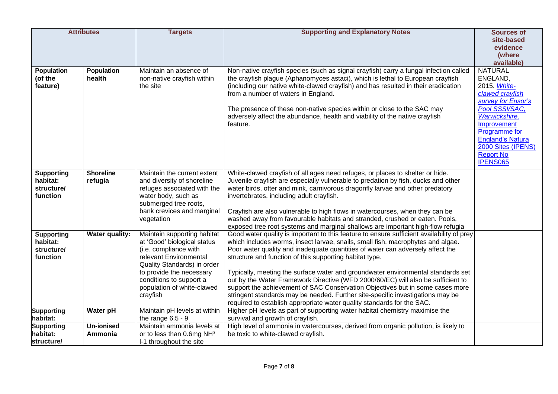|                                                         | <b>Attributes</b>           | <b>Targets</b>                                                                                                                                                                                                                                | <b>Supporting and Explanatory Notes</b>                                                                                                                                                                                                                                                                                                                                                                                                                                                                                                                                                                                                                                                                                                        | <b>Sources of</b>                                                                                                                                                                                       |
|---------------------------------------------------------|-----------------------------|-----------------------------------------------------------------------------------------------------------------------------------------------------------------------------------------------------------------------------------------------|------------------------------------------------------------------------------------------------------------------------------------------------------------------------------------------------------------------------------------------------------------------------------------------------------------------------------------------------------------------------------------------------------------------------------------------------------------------------------------------------------------------------------------------------------------------------------------------------------------------------------------------------------------------------------------------------------------------------------------------------|---------------------------------------------------------------------------------------------------------------------------------------------------------------------------------------------------------|
|                                                         |                             |                                                                                                                                                                                                                                               |                                                                                                                                                                                                                                                                                                                                                                                                                                                                                                                                                                                                                                                                                                                                                | site-based                                                                                                                                                                                              |
|                                                         |                             |                                                                                                                                                                                                                                               |                                                                                                                                                                                                                                                                                                                                                                                                                                                                                                                                                                                                                                                                                                                                                | evidence<br>(where                                                                                                                                                                                      |
|                                                         |                             |                                                                                                                                                                                                                                               |                                                                                                                                                                                                                                                                                                                                                                                                                                                                                                                                                                                                                                                                                                                                                | available)                                                                                                                                                                                              |
| <b>Population</b><br>(of the<br>feature)                | Population<br>health        | Maintain an absence of<br>non-native crayfish within<br>the site                                                                                                                                                                              | Non-native crayfish species (such as signal crayfish) carry a fungal infection called<br>the crayfish plague (Aphanomyces astaci), which is lethal to European crayfish<br>(including our native white-clawed crayfish) and has resulted in their eradication<br>from a number of waters in England.<br>The presence of these non-native species within or close to the SAC may<br>adversely affect the abundance, health and viability of the native crayfish<br>feature.                                                                                                                                                                                                                                                                     | <b>NATURAL</b><br>ENGLAND,<br>2015. White-<br>clawed crayfish<br>survey for Ensor's<br>Pool SSSI/SAC,<br>Warwickshire.<br>Improvement<br>Programme for<br><b>England's Natura</b><br>2000 Sites (IPENS) |
|                                                         |                             |                                                                                                                                                                                                                                               |                                                                                                                                                                                                                                                                                                                                                                                                                                                                                                                                                                                                                                                                                                                                                | <b>Report No</b><br>IPENS065                                                                                                                                                                            |
| <b>Supporting</b><br>habitat:<br>structure/<br>function | <b>Shoreline</b><br>refugia | Maintain the current extent<br>and diversity of shoreline<br>refuges associated with the<br>water body, such as<br>submerged tree roots,<br>bank crevices and marginal<br>vegetation                                                          | White-clawed crayfish of all ages need refuges, or places to shelter or hide.<br>Juvenile crayfish are especially vulnerable to predation by fish, ducks and other<br>water birds, otter and mink, carnivorous dragonfly larvae and other predatory<br>invertebrates, including adult crayfish.<br>Crayfish are also vulnerable to high flows in watercourses, when they can be<br>washed away from favourable habitats and stranded, crushed or eaten. Pools,<br>exposed tree root systems and marginal shallows are important high-flow refugia                                                                                                                                                                                              |                                                                                                                                                                                                         |
| <b>Supporting</b><br>habitat:<br>structure/<br>function | <b>Water quality:</b>       | Maintain supporting habitat<br>at 'Good' biological status<br>(i.e. compliance with<br>relevant Environmental<br>Quality Standards) in order<br>to provide the necessary<br>conditions to support a<br>population of white-clawed<br>crayfish | Good water quality is important to this feature to ensure sufficient availability of prey<br>which includes worms, insect larvae, snails, small fish, macrophytes and algae.<br>Poor water quality and inadequate quantities of water can adversely affect the<br>structure and function of this supporting habitat type.<br>Typically, meeting the surface water and groundwater environmental standards set<br>out by the Water Framework Directive (WFD 2000/60/EC) will also be sufficient to<br>support the achievement of SAC Conservation Objectives but in some cases more<br>stringent standards may be needed. Further site-specific investigations may be<br>required to establish appropriate water quality standards for the SAC. |                                                                                                                                                                                                         |
| <b>Supporting</b>                                       | Water pH                    | Maintain pH levels at within                                                                                                                                                                                                                  | Higher pH levels as part of supporting water habitat chemistry maximise the                                                                                                                                                                                                                                                                                                                                                                                                                                                                                                                                                                                                                                                                    |                                                                                                                                                                                                         |
| habitat:                                                |                             | the range $6.5 - 9$                                                                                                                                                                                                                           | survival and growth of crayfish.                                                                                                                                                                                                                                                                                                                                                                                                                                                                                                                                                                                                                                                                                                               |                                                                                                                                                                                                         |
| <b>Supporting</b>                                       | <b>Un-ionised</b>           | Maintain ammonia levels at                                                                                                                                                                                                                    | High level of ammonia in watercourses, derived from organic pollution, is likely to                                                                                                                                                                                                                                                                                                                                                                                                                                                                                                                                                                                                                                                            |                                                                                                                                                                                                         |
| habitat:<br>structure/                                  | Ammonia                     | or to less than 0.6mg NH3<br>I-1 throughout the site                                                                                                                                                                                          | be toxic to white-clawed crayfish.                                                                                                                                                                                                                                                                                                                                                                                                                                                                                                                                                                                                                                                                                                             |                                                                                                                                                                                                         |